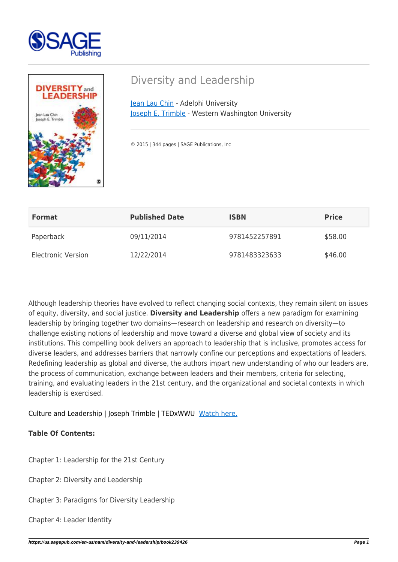



## Diversity and Leadership

[Jean Lau Chin](https://us.sagepub.com/en-us/nam/author/jean-lau-chin) - Adelphi University [Joseph E. Trimble](https://us.sagepub.com/en-us/nam/author/joseph-e-trimble) - Western Washington University

© 2015 | 344 pages | SAGE Publications, Inc

| <b>Format</b>             | <b>Published Date</b> | <b>ISBN</b>   | <b>Price</b> |
|---------------------------|-----------------------|---------------|--------------|
| Paperback                 | 09/11/2014            | 9781452257891 | \$58.00      |
| <b>Electronic Version</b> | 12/22/2014            | 9781483323633 | \$46.00      |

Although leadership theories have evolved to reflect changing social contexts, they remain silent on issues of equity, diversity, and social justice. **Diversity and Leadership** offers a new paradigm for examining leadership by bringing together two domains—research on leadership and research on diversity—to challenge existing notions of leadership and move toward a diverse and global view of society and its institutions. This compelling book delivers an approach to leadership that is inclusive, promotes access for diverse leaders, and addresses barriers that narrowly confine our perceptions and expectations of leaders. Redefining leadership as global and diverse, the authors impart new understanding of who our leaders are, the process of communication, exchange between leaders and their members, criteria for selecting, training, and evaluating leaders in the 21st century, and the organizational and societal contexts in which leadership is exercised.

Culture and Leadership | Joseph Trimble | TEDxWWU [Watch here.](https://www.youtube.com/watch?v=fuHj3jsBdKE)

## **Table Of Contents:**

Chapter 1: Leadership for the 21st Century

Chapter 2: Diversity and Leadership

Chapter 3: Paradigms for Diversity Leadership

Chapter 4: Leader Identity